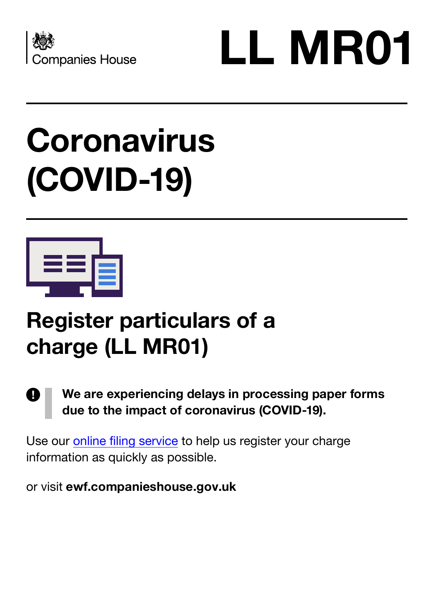



## **Coronavirus (COVID-19)**



## **Register particulars of a charge (LL MR01)**

## **We are experiencing delays in processing paper forms**  I) **due to the impact of coronavirus (COVID-19).**

Use our [online filing service](https://ewf.companieshouse.gov.uk/) to help us register your charge information as quickly as possible.

or visit **ewf.companieshouse.gov.uk**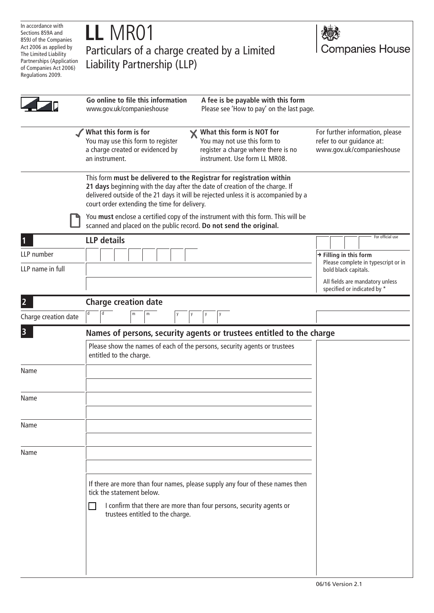| In accordance with                                                                                                          |                                                                                                                                                                                                                                                                                           |                                                                                           |
|-----------------------------------------------------------------------------------------------------------------------------|-------------------------------------------------------------------------------------------------------------------------------------------------------------------------------------------------------------------------------------------------------------------------------------------|-------------------------------------------------------------------------------------------|
| Sections 859A and<br>859J of the Companies                                                                                  | LL MR01                                                                                                                                                                                                                                                                                   |                                                                                           |
| Act 2006 as applied by<br>The Limited Liability<br>Partnerships (Application<br>of Companies Act 2006)<br>Regulations 2009. | Particulars of a charge created by a Limited<br>Liability Partnership (LLP)                                                                                                                                                                                                               | <b>Companies House</b>                                                                    |
|                                                                                                                             | Go online to file this information<br>A fee is be payable with this form<br>www.gov.uk/companieshouse<br>Please see 'How to pay' on the last page.                                                                                                                                        |                                                                                           |
|                                                                                                                             | What this form is for<br><b>X</b> What this form is NOT for<br>You may use this form to register<br>You may not use this form to<br>a charge created or evidenced by<br>register a charge where there is no<br>instrument. Use form LL MR08.<br>an instrument.                            | For further information, please<br>refer to our guidance at:<br>www.gov.uk/companieshouse |
|                                                                                                                             | This form must be delivered to the Registrar for registration within<br>21 days beginning with the day after the date of creation of the charge. If<br>delivered outside of the 21 days it will be rejected unless it is accompanied by a<br>court order extending the time for delivery. |                                                                                           |
|                                                                                                                             | You must enclose a certified copy of the instrument with this form. This will be<br>scanned and placed on the public record. Do not send the original.                                                                                                                                    |                                                                                           |
|                                                                                                                             | <b>LLP</b> details                                                                                                                                                                                                                                                                        | For official use                                                                          |
| LLP number                                                                                                                  |                                                                                                                                                                                                                                                                                           | $\rightarrow$ Filling in this form                                                        |
| LLP name in full                                                                                                            |                                                                                                                                                                                                                                                                                           | Please complete in typescript or in<br>bold black capitals.                               |
|                                                                                                                             |                                                                                                                                                                                                                                                                                           | All fields are mandatory unless<br>specified or indicated by *                            |
| $\overline{2}$                                                                                                              | <b>Charge creation date</b>                                                                                                                                                                                                                                                               |                                                                                           |
| Charge creation date                                                                                                        | m                                                                                                                                                                                                                                                                                         |                                                                                           |
| $\overline{\mathbf{3}}$                                                                                                     | Names of persons, security agents or trustees entitled to the charge                                                                                                                                                                                                                      |                                                                                           |
|                                                                                                                             | Please show the names of each of the persons, security agents or trustees<br>entitled to the charge.                                                                                                                                                                                      |                                                                                           |
| Name                                                                                                                        |                                                                                                                                                                                                                                                                                           |                                                                                           |
| Name                                                                                                                        |                                                                                                                                                                                                                                                                                           |                                                                                           |
| Name                                                                                                                        |                                                                                                                                                                                                                                                                                           |                                                                                           |
| Name                                                                                                                        |                                                                                                                                                                                                                                                                                           |                                                                                           |
|                                                                                                                             | If there are more than four names, please supply any four of these names then<br>tick the statement below.<br>I confirm that there are more than four persons, security agents or<br>trustees entitled to the charge.                                                                     |                                                                                           |
|                                                                                                                             |                                                                                                                                                                                                                                                                                           |                                                                                           |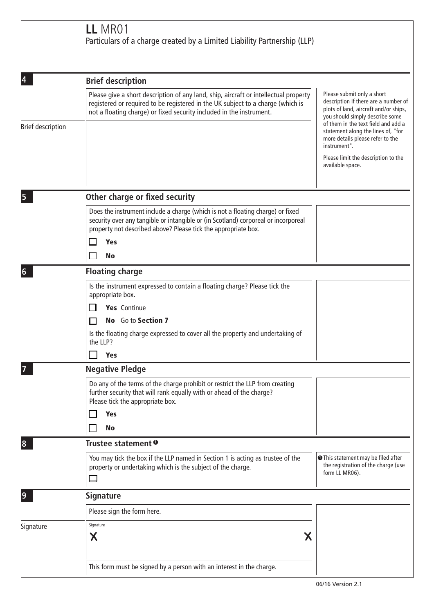## **LL** MR01 Particulars of a charge created by a Limited Liability Partnership (LLP)

|                                                                                                                                                                                                                                                            | <b>Brief description</b>                                                                                                                                                                                                                                                                                                                   |  |  |
|------------------------------------------------------------------------------------------------------------------------------------------------------------------------------------------------------------------------------------------------------------|--------------------------------------------------------------------------------------------------------------------------------------------------------------------------------------------------------------------------------------------------------------------------------------------------------------------------------------------|--|--|
| Please give a short description of any land, ship, aircraft or intellectual property<br>registered or required to be registered in the UK subject to a charge (which is<br>not a floating charge) or fixed security included in the instrument.            | Please submit only a short<br>description If there are a number of<br>plots of land, aircraft and/or ships,<br>you should simply describe some<br>of them in the text field and add a<br>statement along the lines of, "for<br>more details please refer to the<br>instrument".<br>Please limit the description to the<br>available space. |  |  |
|                                                                                                                                                                                                                                                            |                                                                                                                                                                                                                                                                                                                                            |  |  |
| Does the instrument include a charge (which is not a floating charge) or fixed<br>security over any tangible or intangible or (in Scotland) corporeal or incorporeal<br>property not described above? Please tick the appropriate box.<br>Yes<br><b>No</b> |                                                                                                                                                                                                                                                                                                                                            |  |  |
| <b>Floating charge</b>                                                                                                                                                                                                                                     |                                                                                                                                                                                                                                                                                                                                            |  |  |
| Is the instrument expressed to contain a floating charge? Please tick the<br>appropriate box.<br>Yes Continue<br>No Go to Section 7<br>Is the floating charge expressed to cover all the property and undertaking of<br>the LLP?                           |                                                                                                                                                                                                                                                                                                                                            |  |  |
|                                                                                                                                                                                                                                                            |                                                                                                                                                                                                                                                                                                                                            |  |  |
| Do any of the terms of the charge prohibit or restrict the LLP from creating<br>further security that will rank equally with or ahead of the charge?<br>Please tick the appropriate box.<br><b>Yes</b><br><b>No</b>                                        |                                                                                                                                                                                                                                                                                                                                            |  |  |
| Trustee statement <sup>o</sup>                                                                                                                                                                                                                             |                                                                                                                                                                                                                                                                                                                                            |  |  |
| You may tick the box if the LLP named in Section 1 is acting as trustee of the<br>property or undertaking which is the subject of the charge.                                                                                                              | <b>O</b> This statement may be filed after<br>the registration of the charge (use<br>form LL MR06).                                                                                                                                                                                                                                        |  |  |
| <b>Signature</b>                                                                                                                                                                                                                                           |                                                                                                                                                                                                                                                                                                                                            |  |  |
| Please sign the form here.                                                                                                                                                                                                                                 |                                                                                                                                                                                                                                                                                                                                            |  |  |
| Signature<br>Χ<br>Χ<br>This form must be signed by a person with an interest in the charge.                                                                                                                                                                |                                                                                                                                                                                                                                                                                                                                            |  |  |
|                                                                                                                                                                                                                                                            | Other charge or fixed security<br><b>Yes</b><br><b>Negative Pledge</b>                                                                                                                                                                                                                                                                     |  |  |